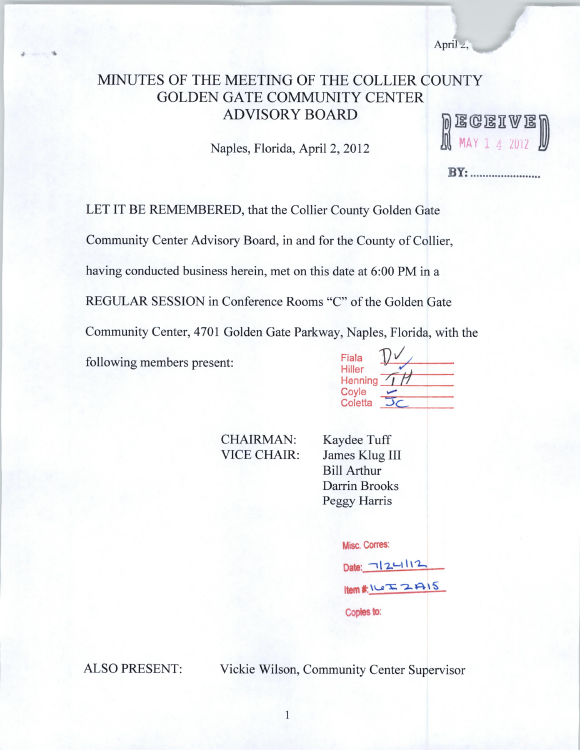April  $\angle$ ,

# MINUTES OF THE MEETING OF THE COLLIER COUNTY GOLDEN GATE COMMUNITY CENTER ADVISORY BOARD

Naples, Florida, April 2, 2012

 $[0]$  E G E I V E  $[0]$ <br> $[0]$  MAY 1 4 2012

**BY:** .........................

LET IT BE REMEMBERED, that the Collier County Golden Gate

Community Center Advisory Board, in and for the County of Collier,

having conducted business herein, met on this date at 6:00 PM in a

CHAIRMAN: VICE CHAIR:

REGULAR SESSION in Conference Rooms "C" of the Golden Gate

Community Center, 4701 Golden Gate Parkway, Naples, Florida, with the

following members present:

 $\frac{1}{2}$ 

| Fiala            |  |
|------------------|--|
| <b>Hiller</b>    |  |
| Henning<br>Coyle |  |
| Coletta          |  |

Kaydee Tuff James Klug III Bill Arthur Darrin Brooks Peggy Harris

| <b>Misc. Corres:</b> |  |
|----------------------|--|
| Date: 7124112        |  |
| Item#ICIZ2A15        |  |
| Copies to:           |  |

ALSO PRESENT: Vickie Wilson, Community Center Supervisor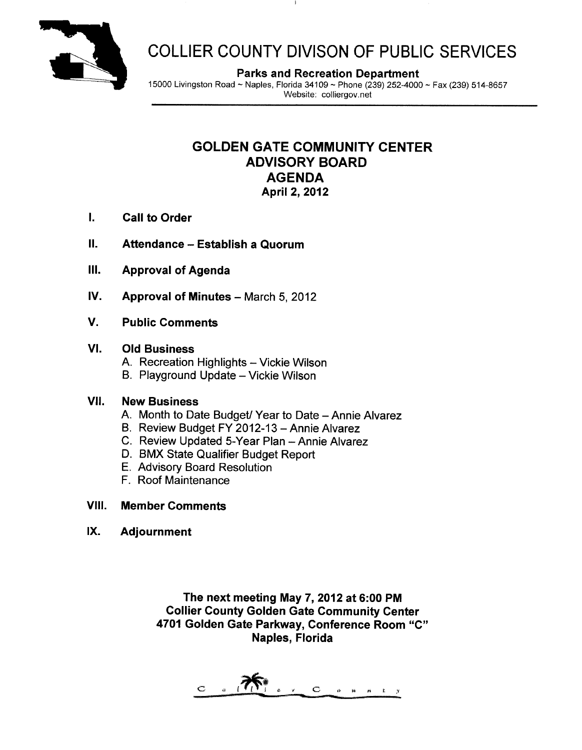

# COLLIER COUNTY DIVISON OF PUBLIC SERVICES

Parks and Recreation Department

15000 Livingston Road — Naples, Florida 34109 — Phone (239) 252 -4000 — Fax (239) 514 -8657 Website: colliergov.net

# GOLDEN GATE COMMUNITY CENTER ADVISORY BOARD AGENDA April 2, 2012

- I. Call to Order
- II. Attendance Establish a Quorum
- III. Approval of Agenda
- IV. Approval of Minutes March 5, 2012
- V. Public Comments

## VI. Old Business

- A. Recreation Highlights Vickie Wilson
- B. Playground Update Vickie Wilson

## VII. New Business

- A. Month to Date Budget/ Year to Date Annie Alvarez
- B. Review Budget FY 2012 -13 Annie Alvarez
- C. Review Updated 5 -Year Plan Annie Alvarez
- D. BMX State Qualifier Budget Report
- E. Advisory Board Resolution
- F. Roof Maintenance

## Vill. Member Comments

IX. Adjournment

The next meeting May 7, 2012 at 6:00 PM Collier County Golden Gate Community Center 4701 Golden Gate Parkway, Conference Room "C" Naples, Florida

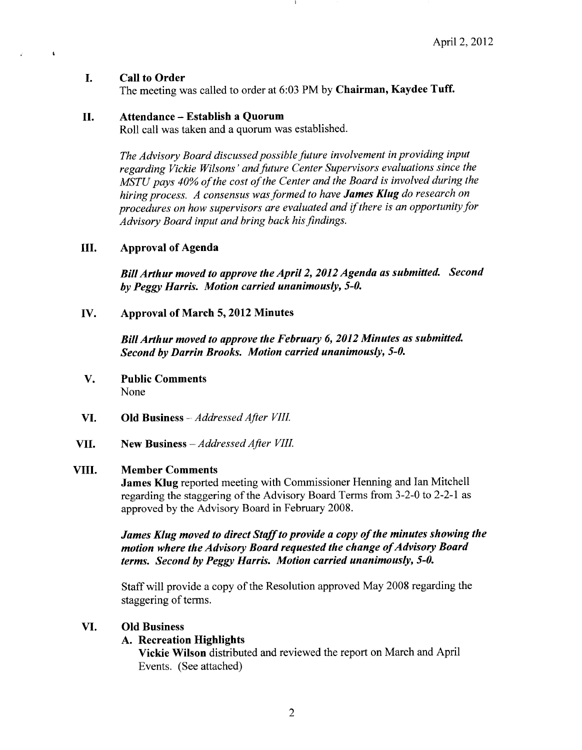#### I. Call to Order

 $\ddot{\phantom{1}}$ 

The meeting was called to order at 6:03 PM by Chairman, Kaydee Tuff.

### II. Attendance — Establish <sup>a</sup> Quorum

Roll call was taken and a quorum was established.

The Advisory Board discussed possible future involvement in providing input regarding Vickie Wilsons' and future Center Supervisors evaluations since the MSTU pays 40% of the cost of the Center and the Board is involved during the hiring process. A consensus was formed to have James Klug do research on procedures on how supervisors are evaluated and if there is an opportunity for Advisory Board input and bring back his findings.

### III. Approval of Agenda

BillArthur moved to approve the April 2, 2012 Agenda as submitted. Second by Peggy Harris. Motion carried unanimously, 5-0.

IV. Approval of March 5, 2012 Minutes

BillArthur moved to approve the February 6, 2012 Minutes as submitted. Second by Darrin Brooks. Motion carried unanimously, 5-0.

- V. Public Comments None
- VI. Old Business —Addressed After VIII.
- VII. New Business —AddressedAfter VIII.

## VIII. Member Comments

James Klug reported meeting with Commissioner Henning and Ian Mitchell regarding the staggering of the Advisory Board Terms from 3-2-0 to 2-2-1 as approved by the Advisory Board in February 2008.

James Klug moved to direct Staff to provide a copy of the minutes showing the motion where the Advisory Board requested the change of Advisory Board terms. Second by Peggy Harris. Motion carried unanimously, 5-0.

Staff will provide <sup>a</sup> copy of the Resolution approved May 2008 regarding the staggering of terms.

#### VI. Old Business

## A. Recreation Highlights

Vickie Wilson distributed and reviewed the report on March and April Events. ( See attached)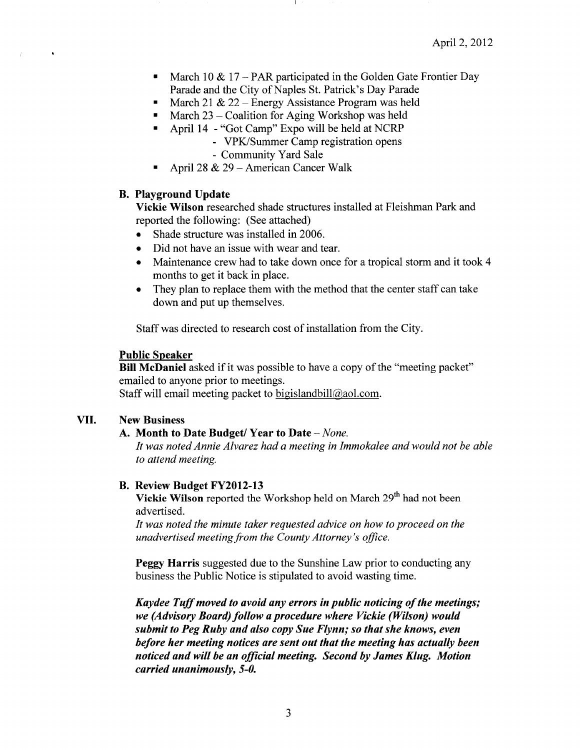- March 10  $\&$  17 PAR participated in the Golden Gate Frontier Day  $\blacksquare$ Parade and the City of Naples St. Patrick's Day Parade
- March 21 & 22 Energy Assistance Program was held  $\mathbf{u}$  .
- March 23 Coalition for Aging Workshop was held  $\blacksquare$ 
	- April 14 "Got Camp" Expo will be held at NCRP
		- VPK/Summer Camp registration opens
		- Community Yard Sale
- April 28 & 29 American Cancer Walk

#### B. Playground Update

 $\bullet$ 

Vickie Wilson researched shade structures installed at Fleishman Park and reported the following: ( See attached)

- $\bullet$ Shade structure was installed in 2006.
- Did not have an issue with wear and tear.  $\bullet$
- Maintenance crew had to take down once for a tropical storm and it took 4 months to get it back in place.
- They plan to replace them with the method that the center staff can take  $\bullet$ down and put up themselves.

Staff was directed to research cost of installation from the City.

#### Public Speaker

Bill McDaniel asked if it was possible to have a copy of the "meeting packet" emailed to anyone prior to meetings. Staff will email meeting packet to bigislandbill@aol.com.

# VII. New Business

## A. Month to Date Budget/ Year to Date — None.

It was noted Annie Alvarez had a meeting in Immokalee and would not be able to attend meeting.

#### B. Review Budget FY2012-13

Vickie Wilson reported the Workshop held on March 29<sup>th</sup> had not been advertised.

It was noted the minute taker requested advice on how to proceed on the unadvertised meeting from the County Attorney's office.

Peggy Harris suggested due to the Sunshine Law prior to conducting any business the Public Notice is stipulated to avoid wasting time.

Kaydee Tuff moved to avoid any errors in public noticing of the meetings; we (Advisory Board) follow a procedure where Vickie (Wilson) would submit to Peg Ruby and also copy Sue Flynn; so that she knows, even before her meeting notices are sent out that the meeting has actually been noticed and will be an official meeting. Second by James Klug. Motion carried unanimously, 5-0.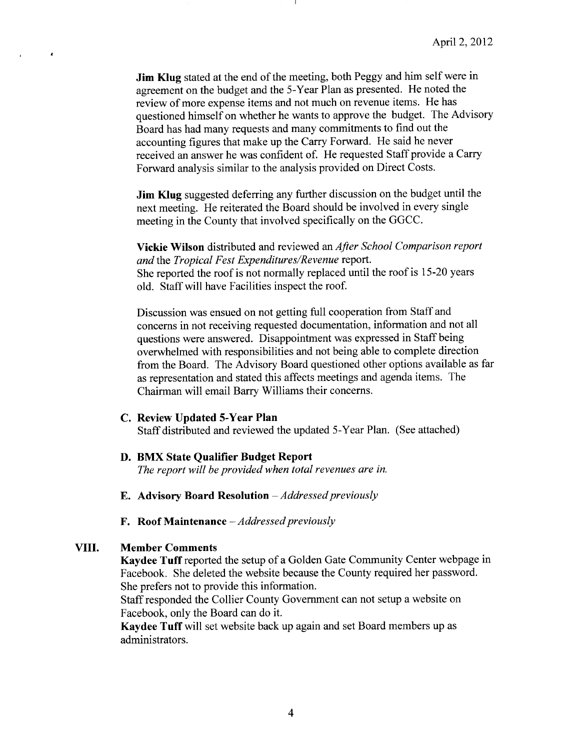Jim Klug stated at the end of the meeting, both Peggy and him self were in agreement on the budget and the 5 -Year Plan as presented. He noted the review of more expense items and not much on revenue items. He has questioned himself on whether he wants to approve the budget. The Advisory Board has had many requests and many commitments to find out the accounting figures that make up the Carry Forward. He said he never received an answer he was confident of. He requested Staff provide <sup>a</sup> Carry Forward analysis similar to the analysis provided on Direct Costs.

Jim Klug suggested deferring any further discussion on the budget until the next meeting. He reiterated the Board should be involved in every single meeting in the County that involved specifically on the GGCC.

Vickie Wilson distributed and reviewed an After School Comparison report and the Tropical Fest Expenditures/Revenue report. She reported the roof is not normally replaced until the roof is 15 -20 years old. Staff will have Facilities inspect the roof.

Discussion was ensued on not getting full cooperation from Staff and concerns in not receiving requested documentation, information and not all questions were answered. Disappointment was expressed in Staff being overwhelmed with responsibilities and not being able to complete direction from the Board. The Advisory Board questioned other options available as far as representation and stated this affects meetings and agenda items. The Chairman will email Barry Williams their concerns.

#### C. Review Updated 5 -Year Plan

Staff distributed and reviewed the updated 5 -Year Plan. ( See attached)

#### D. BMX State Qualifier Budget Report

The report will be provided when total revenues are in.

- **E.** Advisory Board Resolution  $-\textit{Addressed previously}$
- F. Roof Maintenance  $-A$ ddressed previously

#### VIII. Member Comments

 $\pmb{\epsilon}$ 

Kaydee Tuff reported the setup of <sup>a</sup> Golden Gate Community Center webpage in Facebook. She deleted the website because the County required her password. She prefers not to provide this information.

Staff responded the Collier County Government can not setup a website on Facebook, only the Board can do it.

Kaydee Tuff will set website back up again and set Board members up as administrators.